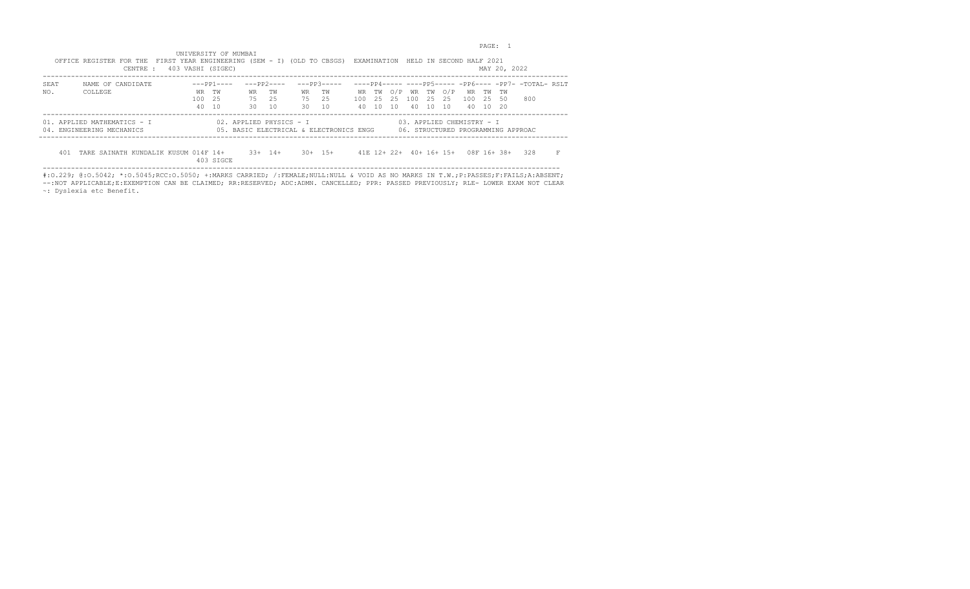en and the set of the set of the set of the set of the set of the set of the set of the set of the set of the set of the set of the set of the set of the set of the set of the set of the set of the set of the set of the se

 UNIVERSITY OF MUMBAI OFFICE REGISTER FOR THE FIRST YEAR ENGINEERING (SEM - I) (OLD TO CBSGS) EXAMINATION HELD IN SECOND HALF 2021 CENTRE : 403 VASHI (SIGEC) MAY 20, 2022

|      |                                      | $100$ . The state $101$ |             |                         |             |           |                                         |     |         |     |       |                         |                           |       | $\cdots$                           |                                                             |  |
|------|--------------------------------------|-------------------------|-------------|-------------------------|-------------|-----------|-----------------------------------------|-----|---------|-----|-------|-------------------------|---------------------------|-------|------------------------------------|-------------------------------------------------------------|--|
| SEAT | NAME OF CANDIDATE                    |                         | $---PP1---$ |                         | $---PP2---$ |           | $---PP3---$                             |     |         |     |       |                         |                           |       |                                    | $---PP4--------PP5-----PP6-----PP6-----PP7----T0TAI- RSI.T$ |  |
| NO.  | COLLEGE                              |                         | WR TW       | WR                      | TW          | <b>WR</b> | TW                                      |     | WR TW   |     |       | O/P WR TW O/P           | WR TW                     |       | TW                                 |                                                             |  |
|      |                                      | 100                     | 2.5         | 75                      | 2.5         | 75        | - 2.5                                   | 100 | 2.5 2.5 | 100 | 25 25 |                         | 100                       | - 2.5 | -50                                | 800                                                         |  |
|      |                                      |                         | 40 10       | 30                      | 10          | 30        | 10                                      | 40. | 10 10   |     | 40 10 | 10                      | 40 10 20                  |       |                                    |                                                             |  |
|      |                                      |                         |             |                         |             |           |                                         |     |         |     |       |                         |                           |       |                                    |                                                             |  |
|      | 01. APPLIED MATHEMATICS - I          |                         |             | 02. APPLIED PHYSICS - I |             |           |                                         |     |         |     |       |                         | 03. APPLIED CHEMISTRY - I |       |                                    |                                                             |  |
|      | 04. ENGINEERING MECHANICS            |                         |             |                         |             |           | 05. BASIC ELECTRICAL & ELECTRONICS ENGG |     |         |     |       |                         |                           |       | 06. STRUCTURED PROGRAMMING APPROAC |                                                             |  |
|      |                                      |                         |             |                         |             |           |                                         |     |         |     |       |                         |                           |       |                                    |                                                             |  |
|      |                                      |                         |             |                         |             |           |                                         |     |         |     |       |                         |                           |       |                                    |                                                             |  |
| 401  | TARE SAINATH KUNDALIK KUSUM 014F 14+ |                         |             |                         | $33+$ 14+   |           | $30 + 15 +$                             |     |         |     |       | $41F$ $12+22+40+16+15+$ |                           |       | $08F$ 16+ 38+                      | 328                                                         |  |
|      |                                      |                         | 403 SIGCE   |                         |             |           |                                         |     |         |     |       |                         |                           |       |                                    |                                                             |  |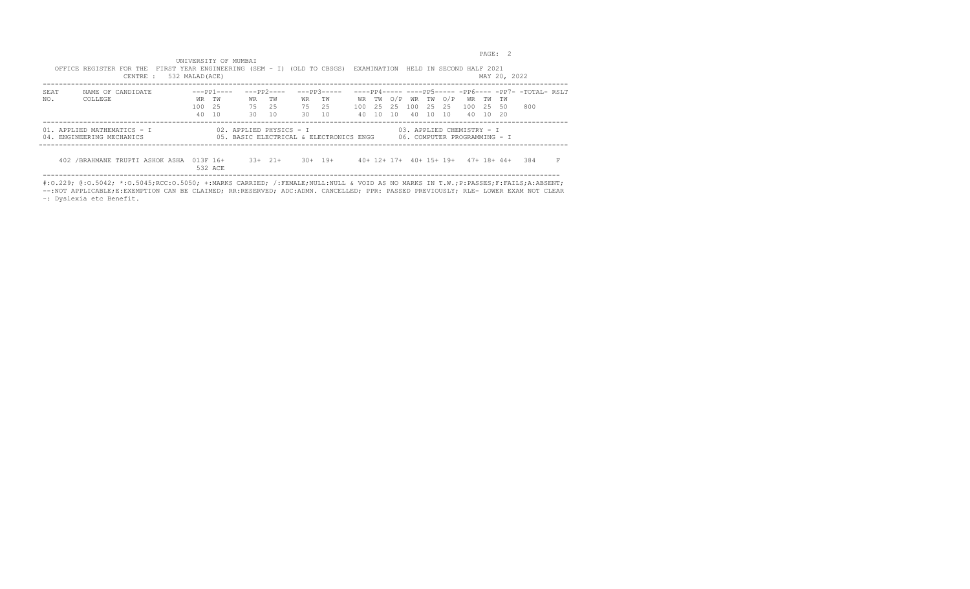example of the contract of the contract of the contract of the contract of the contract of the contract of the contract of the contract of the contract of the contract of the contract of the contract of the contract of the

|      | OFFICE REGISTER FOR THE FIRST YEAR ENGINEERING (SEM - I) (OLD TO CBSGS) EXAMINATION HELD IN SECOND HALF 2021<br>532 MALAD (ACE)<br>CENTRE : |        |                     |                                                                    |             |           |              |     |  |  |                     |                                                           | MAY 20, 2022                        |                                                             |  |
|------|---------------------------------------------------------------------------------------------------------------------------------------------|--------|---------------------|--------------------------------------------------------------------|-------------|-----------|--------------|-----|--|--|---------------------|-----------------------------------------------------------|-------------------------------------|-------------------------------------------------------------|--|
| SEAT | NAME OF CANDIDATE                                                                                                                           |        | $---PP1---$         |                                                                    | $---PP2---$ |           | $---PP3---$  |     |  |  |                     |                                                           |                                     | $---PP4--------PP5-----PP6-----PP6-----PP7----T0TAI- RSI.T$ |  |
| NO.  | COLLEGE                                                                                                                                     |        | WR TW               | WR                                                                 | TW          | <b>WR</b> | TW T         |     |  |  | WR TWO/P WR TWO/P   | WR TW TW                                                  |                                     |                                                             |  |
|      |                                                                                                                                             | 100 25 |                     | 75                                                                 | 2.5         | 75 25     |              | 100 |  |  | 2.5 2.5 100 2.5 2.5 | 100 25 50                                                 |                                     | 800                                                         |  |
|      |                                                                                                                                             |        | 40 10               | 30 I                                                               | 10          | 30        | 10           | 40  |  |  |                     | 10 10 40 10 10 40 10 20                                   |                                     |                                                             |  |
|      | 01. APPLIED MATHEMATICS - I<br>04. ENGINEERING MECHANICS                                                                                    |        |                     | 02. APPLIED PHYSICS - I<br>05. BASIC ELECTRICAL & ELECTRONICS ENGG |             |           |              |     |  |  |                     | 03. APPLIED CHEMISTRY - I<br>06. COMPUTER PROGRAMMING - I |                                     |                                                             |  |
|      | 402 / BRAHMANE TRUPTI ASHOK ASHA                                                                                                            |        | 013F 16+<br>532 ACE |                                                                    | $33+21+$    |           | $.30 + 19 +$ |     |  |  |                     |                                                           | 40+ 12+ 17+ 40+ 15+ 19+ 47+ 18+ 44+ | 384                                                         |  |

 UNIVERSITY OF MUMBAI OFFICE REGISTER FOR THE FIRST YEAR ENGINEERING (SEM - I) (OLD TO CBSGS) EXAMINATION HELD IN SECOND HALF 2021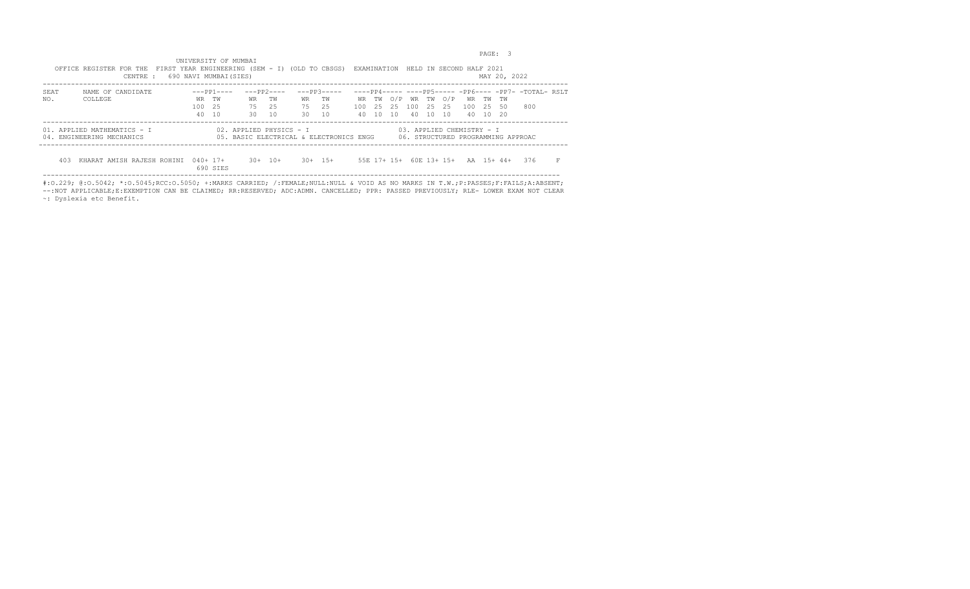PAGE: 3

|      | OFFICE REGISTER FOR THE FIRST YEAR ENGINEERING (SEM - I) (OLD TO CBSGS) EXAMINATION HELD IN SECOND HALF 2021<br>690 NAVI MUMBAI(SIES)<br>CENTRE :                                              |            |             |       |                 |       |               |    |       |  |  |          |                                    | MAY 20, 2022 |                                                       |  |
|------|------------------------------------------------------------------------------------------------------------------------------------------------------------------------------------------------|------------|-------------|-------|-----------------|-------|---------------|----|-------|--|--|----------|------------------------------------|--------------|-------------------------------------------------------|--|
| SEAT | NAME OF CANDIDATE                                                                                                                                                                              |            | $---PP1---$ |       | ---PP2----      |       | $---PP3---$   |    |       |  |  |          |                                    |              | $---PP4--------PP5-----PP6-----PP6-----PP7----TOTAI.$ |  |
| NO.  | COLLEGE                                                                                                                                                                                        | WR TW      |             | WR    | TW <sub>w</sub> | WR TW |               |    |       |  |  |          | WR TWO/P WR TWO/P WR TW TW         |              |                                                       |  |
|      |                                                                                                                                                                                                | 100 25     |             | 75 25 |                 | 75 25 |               |    |       |  |  |          | 100 25 25 100 25 25 100 25 50      |              | 800                                                   |  |
|      |                                                                                                                                                                                                | 40 10      |             | 30 10 |                 | 30 10 |               | 40 | 10 10 |  |  | 40 10 10 | 40 10 20                           |              |                                                       |  |
|      | 01. APPLIED MATHEMATICS - I<br>02. APPLIED PHYSICS – I<br>03. APPLIED CHEMISTRY - I<br>04. ENGINEERING MECHANICS<br>05. BASIC ELECTRICAL & ELECTRONICS ENGG 06. STRUCTURED PROGRAMMING APPROAC |            |             |       |                 |       |               |    |       |  |  |          |                                    |              |                                                       |  |
| 403  | KHARAT AMISH RAJESH ROHINI                                                                                                                                                                     | $040+ 17+$ | 690 STES    |       | $30+10+$        |       | $.30 + 1.5 +$ |    |       |  |  |          | 55E 17+ 15+ 60E 13+ 15+ AA 15+ 44+ |              | 376                                                   |  |

 UNIVERSITY OF MUMBAI OFFICE REGISTER FOR THE FIRST YEAR ENGINEERING (SEM - I) (OLD TO CBSGS) EXAMINATION HELD IN SECOND HALF 2021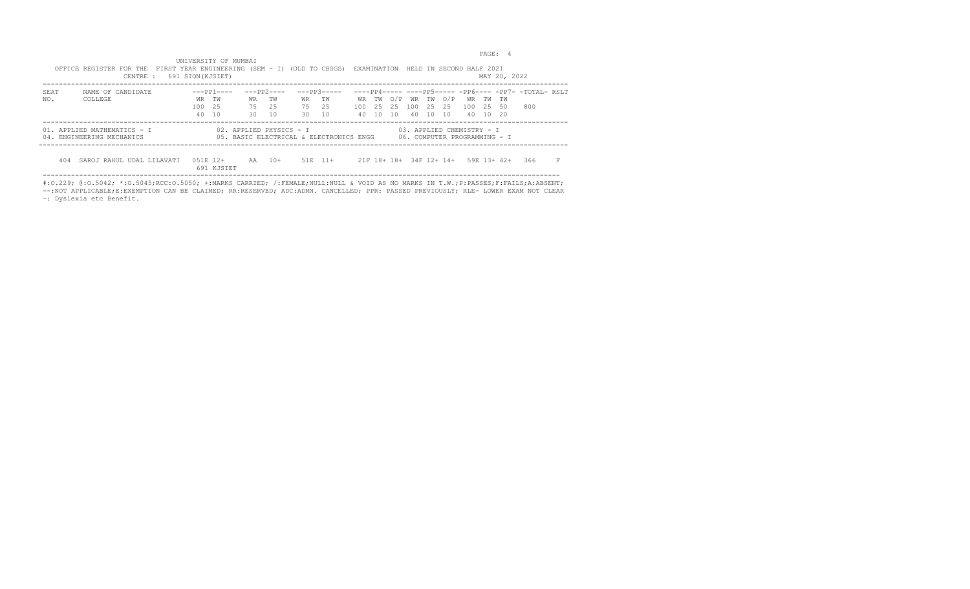example of the state of the state of the state of the state of the state of the state of the state of the state of the state of the state of the state of the state of the state of the state of the state of the state of the

|      | OFFICE REGISTER FOR THE FIRST YEAR ENGINEERING (SEM - I) (OLD TO CBSGS) EXAMINATION HELD IN SECOND HALF 2021<br>CENTRE :                                                                    | 691 SION(KJSIET) |             |       |                 |            |             |  |  |  |  |                               |                               | MAY 20, 2022 |                                                             |  |
|------|---------------------------------------------------------------------------------------------------------------------------------------------------------------------------------------------|------------------|-------------|-------|-----------------|------------|-------------|--|--|--|--|-------------------------------|-------------------------------|--------------|-------------------------------------------------------------|--|
| SEAT | NAME OF CANDIDATE                                                                                                                                                                           |                  | $---PP1---$ |       | $---PP2---$     |            | $---PP3---$ |  |  |  |  |                               |                               |              | $---PP4--------PP5-----PP6-----PP6-----PP7----T0TAI- RSI.T$ |  |
| NO.  | COLLEGE                                                                                                                                                                                     | WR TW            |             | WR    | TW <sub>w</sub> | WR TW      |             |  |  |  |  | WR TW O/P WR TW O/P           | WR TW TW                      |              |                                                             |  |
|      |                                                                                                                                                                                             | 100 25           |             | 75 25 |                 | 75 25      |             |  |  |  |  |                               | 100 25 25 100 25 25 100 25 50 |              | 800                                                         |  |
|      |                                                                                                                                                                                             | 40 10            |             | 30    | 10              | $30 \t 10$ |             |  |  |  |  | 40 10 10 40 10 10             | 40 10 20                      |              |                                                             |  |
|      | 02. APPLIED PHYSICS - I<br>03. APPLIED CHEMISTRY - I<br>01. APPLIED MATHEMATICS - I<br>05. BASIC ELECTRICAL & ELECTRONICS ENGG<br>06. COMPUTER PROGRAMMING - I<br>04. ENGINEERING MECHANICS |                  |             |       |                 |            |             |  |  |  |  |                               |                               |              |                                                             |  |
| 404  | SAROJ RAHUL UDAL LILAVATI                                                                                                                                                                   | $0.51F$ 12+      | 691 KJSTET  |       | AA 10+          |            | $51E$ $11+$ |  |  |  |  | 21 F 18 + 18 + 34 F 12 + 14 + |                               | 59F 13+ 42+  | 366                                                         |  |

 UNIVERSITY OF MUMBAI OFFICE REGISTER FOR THE FIRST YEAR ENGINEERING (SEM - I) (OLD TO CBSGS) EXAMINATION HELD IN SECOND HALF 2021